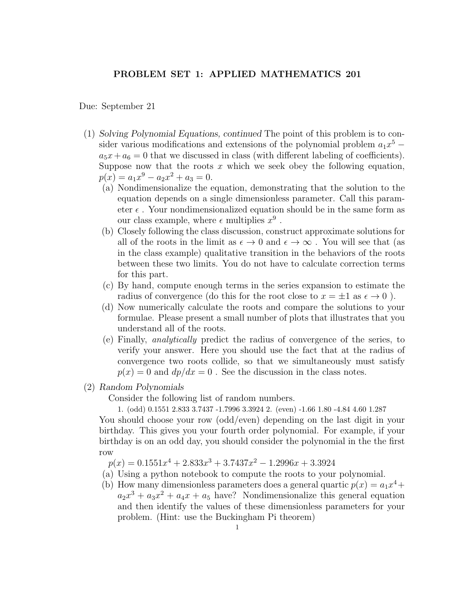## PROBLEM SET 1: APPLIED MATHEMATICS 201

Due: September 21

- (1) Solving Polynomial Equations, continued The point of this problem is to consider various modifications and extensions of the polynomial problem  $a_1x^5$  $a_5x + a_6 = 0$  that we discussed in class (with different labeling of coefficients). Suppose now that the roots  $x$  which we seek obey the following equation,  $p(x) = a_1 x^9 - a_2 x^2 + a_3 = 0.$ 
	- (a) Nondimensionalize the equation, demonstrating that the solution to the equation depends on a single dimensionless parameter. Call this parameter  $\epsilon$ . Your nondimensionalized equation should be in the same form as our class example, where  $\epsilon$  multiplies  $x^9$ .
	- (b) Closely following the class discussion, construct approximate solutions for all of the roots in the limit as  $\epsilon \to 0$  and  $\epsilon \to \infty$ . You will see that (as in the class example) qualitative transition in the behaviors of the roots between these two limits. You do not have to calculate correction terms for this part.
	- (c) By hand, compute enough terms in the series expansion to estimate the radius of convergence (do this for the root close to  $x = \pm 1$  as  $\epsilon \to 0$ ).
	- (d) Now numerically calculate the roots and compare the solutions to your formulae. Please present a small number of plots that illustrates that you understand all of the roots.
	- (e) Finally, analytically predict the radius of convergence of the series, to verify your answer. Here you should use the fact that at the radius of convergence two roots collide, so that we simultaneously must satisfy  $p(x) = 0$  and  $dp/dx = 0$ . See the discussion in the class notes.
- (2) Random Polynomials

Consider the following list of random numbers.

1. (odd) 0.1551 2.833 3.7437 -1.7996 3.3924 2. (even) -1.66 1.80 -4.84 4.60 1.287

You should choose your row (odd/even) depending on the last digit in your birthday. This gives you your fourth order polynomial. For example, if your birthday is on an odd day, you should consider the polynomial in the the first row

 $p(x) = 0.1551x^{4} + 2.833x^{3} + 3.7437x^{2} - 1.2996x + 3.3924$ 

- (a) Using a python notebook to compute the roots to your polynomial.
- (b) How many dimensionless parameters does a general quartic  $p(x) = a_1x^4 +$  $a_2x^3 + a_3x^2 + a_4x + a_5$  have? Nondimensionalize this general equation and then identify the values of these dimensionless parameters for your problem. (Hint: use the Buckingham Pi theorem)